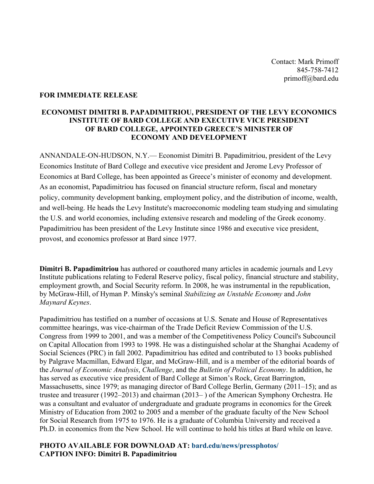Contact: Mark Primoff 845-758-7412 primoff@bard.edu

## **FOR IMMEDIATE RELEASE**

## **ECONOMIST DIMITRI B. PAPADIMITRIOU, PRESIDENT OF THE LEVY ECONOMICS INSTITUTE OF BARD COLLEGE AND EXECUTIVE VICE PRESIDENT OF BARD COLLEGE, APPOINTED GREECE'S MINISTER OF ECONOMY AND DEVELOPMENT**

ANNANDALE-ON-HUDSON, N.Y.— Economist Dimitri B. Papadimitriou, president of the Levy Economics Institute of Bard College and executive vice president and Jerome Levy Professor of Economics at Bard College, has been appointed as Greece's minister of economy and development. As an economist, Papadimitriou has focused on financial structure reform, fiscal and monetary policy, community development banking, employment policy, and the distribution of income, wealth, and well-being. He heads the Levy Institute's macroeconomic modeling team studying and simulating the U.S. and world economies, including extensive research and modeling of the Greek economy. Papadimitriou has been president of the Levy Institute since 1986 and executive vice president, provost, and economics professor at Bard since 1977.

**Dimitri B. Papadimitriou** has authored or coauthored many articles in academic journals and Levy Institute publications relating to Federal Reserve policy, fiscal policy, financial structure and stability, employment growth, and Social Security reform. In 2008, he was instrumental in the republication, by McGraw-Hill, of Hyman P. Minsky's seminal *Stabilizing an Unstable Economy* and *John Maynard Keynes*.

Papadimitriou has testified on a number of occasions at U.S. Senate and House of Representatives committee hearings, was vice-chairman of the Trade Deficit Review Commission of the U.S. Congress from 1999 to 2001, and was a member of the Competitiveness Policy Council's Subcouncil on Capital Allocation from 1993 to 1998. He was a distinguished scholar at the Shanghai Academy of Social Sciences (PRC) in fall 2002. Papadimitriou has edited and contributed to 13 books published by Palgrave Macmillan, Edward Elgar, and McGraw-Hill, and is a member of the editorial boards of the *Journal of Economic Analysis*, *Challenge*, and the *Bulletin of Political Economy*. In addition, he has served as executive vice president of Bard College at Simon's Rock, Great Barrington, Massachusetts, since 1979; as managing director of Bard College Berlin, Germany (2011–15); and as trustee and treasurer (1992–2013) and chairman (2013– ) of the American Symphony Orchestra. He was a consultant and evaluator of undergraduate and graduate programs in economics for the Greek Ministry of Education from 2002 to 2005 and a member of the graduate faculty of the New School for Social Research from 1975 to 1976. He is a graduate of Columbia University and received a Ph.D. in economics from the New School. He will continue to hold his titles at Bard while on leave.

## **PHOTO AVAILABLE FOR DOWNLOAD AT: bard.edu/news/pressphotos/ CAPTION INFO: Dimitri B. Papadimitriou**